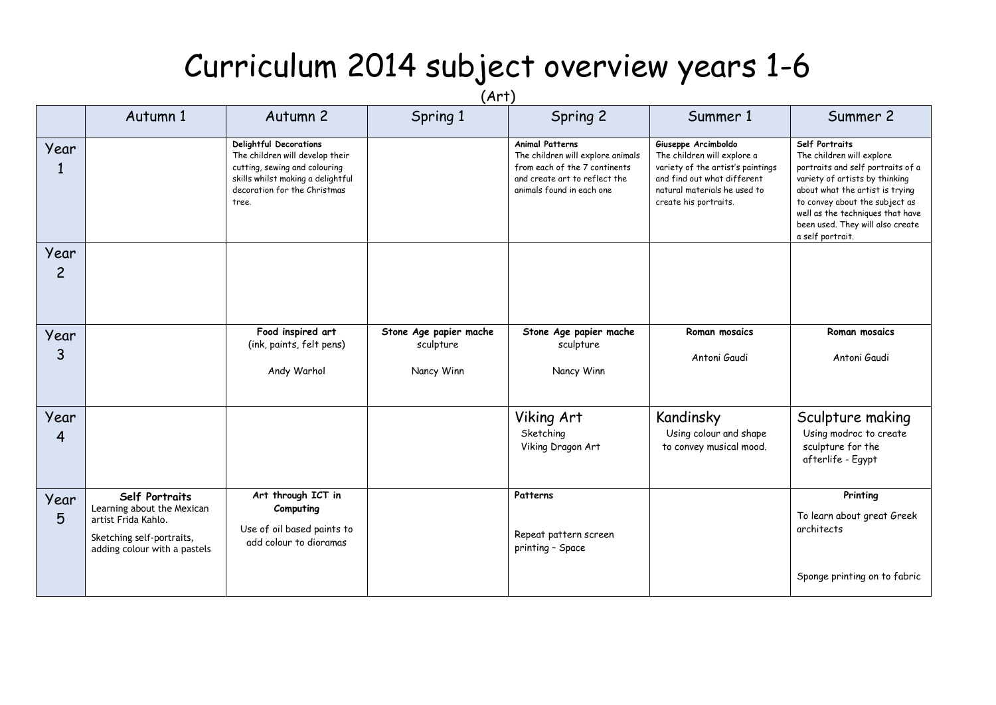## Curriculum 2014 subject overview years 1-6

| (Art)                  |                                                                                                                                  |                                                                                                                                                                          |                                                   |                                                                                                                                                            |                                                                                                                                                                                 |                                                                                                                                                                                                                                                                                     |  |  |  |  |
|------------------------|----------------------------------------------------------------------------------------------------------------------------------|--------------------------------------------------------------------------------------------------------------------------------------------------------------------------|---------------------------------------------------|------------------------------------------------------------------------------------------------------------------------------------------------------------|---------------------------------------------------------------------------------------------------------------------------------------------------------------------------------|-------------------------------------------------------------------------------------------------------------------------------------------------------------------------------------------------------------------------------------------------------------------------------------|--|--|--|--|
|                        | Autumn 1                                                                                                                         | Autumn 2                                                                                                                                                                 | Spring 1                                          | Spring 2                                                                                                                                                   | Summer 1                                                                                                                                                                        | Summer 2                                                                                                                                                                                                                                                                            |  |  |  |  |
| Year<br>1              |                                                                                                                                  | Delightful Decorations<br>The children will develop their<br>cutting, sewing and colouring<br>skills whilst making a delightful<br>decoration for the Christmas<br>tree. |                                                   | <b>Animal Patterns</b><br>The children will explore animals<br>from each of the 7 continents<br>and create art to reflect the<br>animals found in each one | Giuseppe Arcimboldo<br>The children will explore a<br>variety of the artist's paintings<br>and find out what different<br>natural materials he used to<br>create his portraits. | Self Portraits<br>The children will explore<br>portraits and self portraits of a<br>variety of artists by thinking<br>about what the artist is trying<br>to convey about the subject as<br>well as the techniques that have<br>been used. They will also create<br>a self portrait. |  |  |  |  |
| Year<br>$\overline{c}$ |                                                                                                                                  |                                                                                                                                                                          |                                                   |                                                                                                                                                            |                                                                                                                                                                                 |                                                                                                                                                                                                                                                                                     |  |  |  |  |
| Year<br>3              |                                                                                                                                  | Food inspired art<br>(ink, paints, felt pens)<br>Andy Warhol                                                                                                             | Stone Age papier mache<br>sculpture<br>Nancy Winn | Stone Age papier mache<br>sculpture<br>Nancy Winn                                                                                                          | Roman mosaics<br>Antoni Gaudi                                                                                                                                                   | Roman mosaics<br>Antoni Gaudi                                                                                                                                                                                                                                                       |  |  |  |  |
| Year<br>4              |                                                                                                                                  |                                                                                                                                                                          |                                                   | Viking Art<br>Sketching<br>Viking Dragon Art                                                                                                               | Kandinsky<br>Using colour and shape<br>to convey musical mood.                                                                                                                  | Sculpture making<br>Using modroc to create<br>sculpture for the<br>afterlife - Egypt                                                                                                                                                                                                |  |  |  |  |
| Year<br>5              | Self Portraits<br>Learning about the Mexican<br>artist Frida Kahlo.<br>Sketching self-portraits,<br>adding colour with a pastels | Art through ICT in<br>Computing<br>Use of oil based paints to<br>add colour to dioramas                                                                                  |                                                   | Patterns<br>Repeat pattern screen<br>printing - Space                                                                                                      |                                                                                                                                                                                 | Printing<br>To learn about great Greek<br>architects                                                                                                                                                                                                                                |  |  |  |  |
|                        |                                                                                                                                  |                                                                                                                                                                          |                                                   |                                                                                                                                                            |                                                                                                                                                                                 | Sponge printing on to fabric                                                                                                                                                                                                                                                        |  |  |  |  |